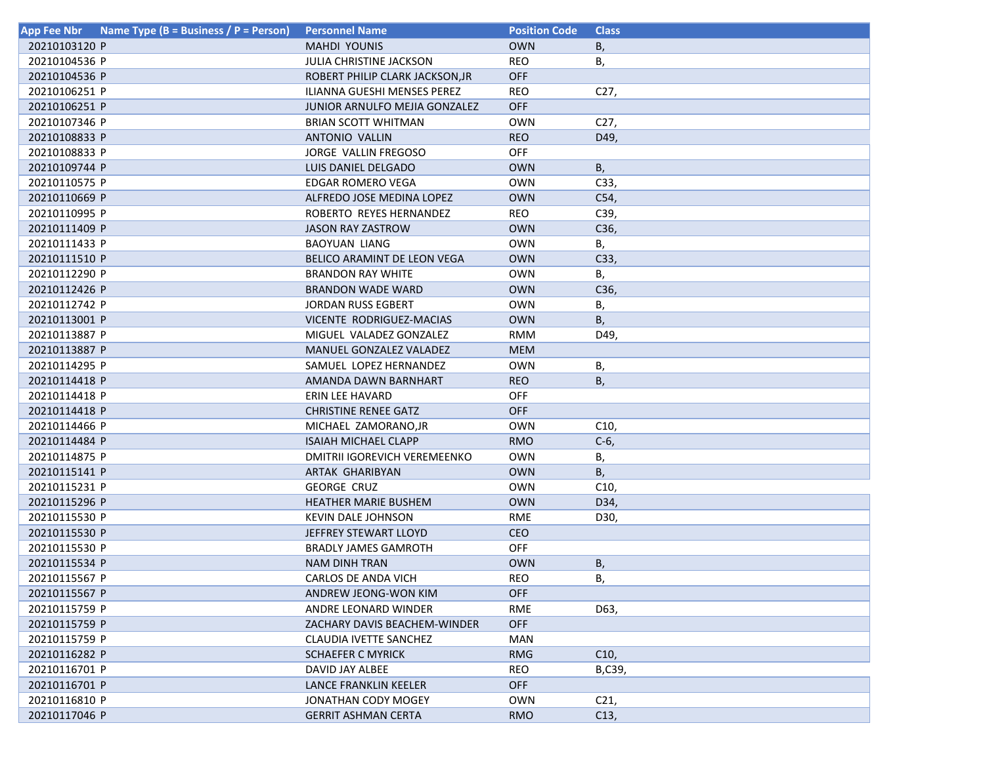| <b>App Fee Nbr</b> | Name Type (B = Business / P = Person) | <b>Personnel Name</b>           | <b>Position Code</b> | <b>Class</b>    |
|--------------------|---------------------------------------|---------------------------------|----------------------|-----------------|
| 20210103120 P      |                                       | <b>MAHDI YOUNIS</b>             | <b>OWN</b>           | В,              |
| 20210104536 P      |                                       | <b>JULIA CHRISTINE JACKSON</b>  | <b>REO</b>           | В,              |
| 20210104536 P      |                                       | ROBERT PHILIP CLARK JACKSON, JR | <b>OFF</b>           |                 |
| 20210106251 P      |                                       | ILIANNA GUESHI MENSES PEREZ     | <b>REO</b>           | C27,            |
| 20210106251 P      |                                       | JUNIOR ARNULFO MEJIA GONZALEZ   | OFF                  |                 |
| 20210107346 P      |                                       | <b>BRIAN SCOTT WHITMAN</b>      | <b>OWN</b>           | C <sub>27</sub> |
| 20210108833 P      |                                       | <b>ANTONIO VALLIN</b>           | <b>REO</b>           | D49,            |
| 20210108833 P      |                                       | JORGE VALLIN FREGOSO            | <b>OFF</b>           |                 |
| 20210109744 P      |                                       | LUIS DANIEL DELGADO             | <b>OWN</b>           | В,              |
| 20210110575 P      |                                       | <b>EDGAR ROMERO VEGA</b>        | <b>OWN</b>           | C33,            |
| 20210110669 P      |                                       | ALFREDO JOSE MEDINA LOPEZ       | <b>OWN</b>           | C54,            |
| 20210110995 P      |                                       | ROBERTO REYES HERNANDEZ         | <b>REO</b>           | C39,            |
| 20210111409 P      |                                       | <b>JASON RAY ZASTROW</b>        | <b>OWN</b>           | C36,            |
| 20210111433 P      |                                       | <b>BAOYUAN LIANG</b>            | <b>OWN</b>           | В,              |
| 20210111510 P      |                                       | BELICO ARAMINT DE LEON VEGA     | <b>OWN</b>           | C33,            |
| 20210112290 P      |                                       | <b>BRANDON RAY WHITE</b>        | <b>OWN</b>           | В,              |
| 20210112426 P      |                                       | <b>BRANDON WADE WARD</b>        | <b>OWN</b>           | C36,            |
| 20210112742 P      |                                       | <b>JORDAN RUSS EGBERT</b>       | <b>OWN</b>           | В,              |
| 20210113001 P      |                                       | VICENTE RODRIGUEZ-MACIAS        | <b>OWN</b>           | В,              |
| 20210113887 P      |                                       | MIGUEL VALADEZ GONZALEZ         | <b>RMM</b>           | D49,            |
| 20210113887 P      |                                       | MANUEL GONZALEZ VALADEZ         | <b>MEM</b>           |                 |
| 20210114295 P      |                                       | SAMUEL LOPEZ HERNANDEZ          | <b>OWN</b>           | Β,              |
| 20210114418 P      |                                       | AMANDA DAWN BARNHART            | <b>REO</b>           | В,              |
| 20210114418 P      |                                       | ERIN LEE HAVARD                 | <b>OFF</b>           |                 |
| 20210114418 P      |                                       | <b>CHRISTINE RENEE GATZ</b>     | OFF                  |                 |
| 20210114466 P      |                                       | MICHAEL ZAMORANO, JR            | <b>OWN</b>           | C <sub>10</sub> |
| 20210114484 P      |                                       | <b>ISAIAH MICHAEL CLAPP</b>     | <b>RMO</b>           | $C-6$           |
| 20210114875 P      |                                       | DMITRII IGOREVICH VEREMEENKO    | <b>OWN</b>           | В,              |
| 20210115141 P      |                                       | ARTAK GHARIBYAN                 | <b>OWN</b>           | В,              |
| 20210115231 P      |                                       | <b>GEORGE CRUZ</b>              | <b>OWN</b>           | C10,            |
| 20210115296 P      |                                       | <b>HEATHER MARIE BUSHEM</b>     | <b>OWN</b>           | D34,            |
| 20210115530 P      |                                       | KEVIN DALE JOHNSON              | <b>RME</b>           | D30,            |
| 20210115530 P      |                                       | JEFFREY STEWART LLOYD           | <b>CEO</b>           |                 |
| 20210115530 P      |                                       | <b>BRADLY JAMES GAMROTH</b>     | <b>OFF</b>           |                 |
| 20210115534 P      |                                       | <b>NAM DINH TRAN</b>            | <b>OWN</b>           | В,              |
| 20210115567 P      |                                       | CARLOS DE ANDA VICH             | <b>REO</b>           | В,              |
| 20210115567 P      |                                       | ANDREW JEONG-WON KIM            | OFF                  |                 |
| 20210115759 P      |                                       | ANDRE LEONARD WINDER            | <b>RME</b>           | D63,            |
| 20210115759 P      |                                       | ZACHARY DAVIS BEACHEM-WINDER    | OFF                  |                 |
| 20210115759 P      |                                       | CLAUDIA IVETTE SANCHEZ          | MAN                  |                 |
| 20210116282 P      |                                       | <b>SCHAEFER C MYRICK</b>        | <b>RMG</b>           | C10,            |
| 20210116701 P      |                                       | DAVID JAY ALBEE                 | REO                  | B,C39,          |
| 20210116701 P      |                                       | LANCE FRANKLIN KEELER           | <b>OFF</b>           |                 |
| 20210116810 P      |                                       | JONATHAN CODY MOGEY             | <b>OWN</b>           | C <sub>21</sub> |
| 20210117046 P      |                                       | <b>GERRIT ASHMAN CERTA</b>      | <b>RMO</b>           | C13,            |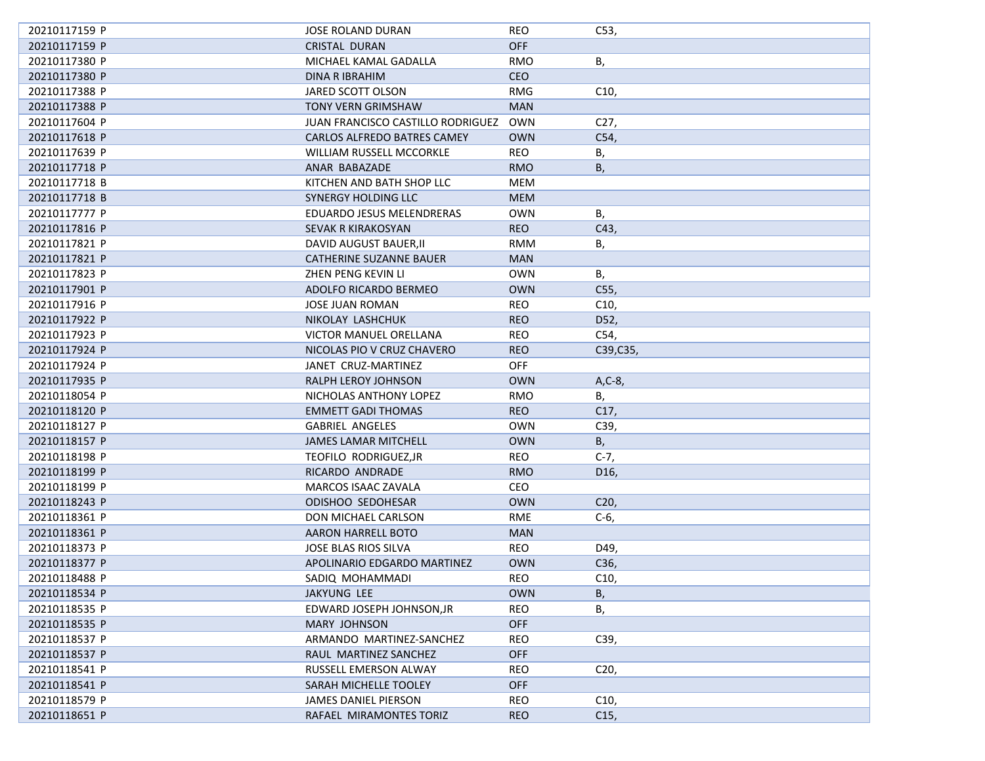| 20210117159 P | JOSE ROLAND DURAN                 | REO        | C53,            |
|---------------|-----------------------------------|------------|-----------------|
| 20210117159 P | CRISTAL DURAN                     | <b>OFF</b> |                 |
| 20210117380 P | MICHAEL KAMAL GADALLA             | <b>RMO</b> | В,              |
| 20210117380 P | DINA R IBRAHIM                    | <b>CEO</b> |                 |
| 20210117388 P | JARED SCOTT OLSON                 | <b>RMG</b> | C10,            |
| 20210117388 P | <b>TONY VERN GRIMSHAW</b>         | <b>MAN</b> |                 |
| 20210117604 P | JUAN FRANCISCO CASTILLO RODRIGUEZ | <b>OWN</b> | C27,            |
| 20210117618 P | CARLOS ALFREDO BATRES CAMEY       | <b>OWN</b> | C54,            |
| 20210117639 P | <b>WILLIAM RUSSELL MCCORKLE</b>   | <b>REO</b> | В,              |
| 20210117718 P | ANAR BABAZADE                     | <b>RMO</b> | В,              |
| 20210117718 B | KITCHEN AND BATH SHOP LLC         | MEM        |                 |
| 20210117718 B | SYNERGY HOLDING LLC               | <b>MEM</b> |                 |
| 20210117777 P | EDUARDO JESUS MELENDRERAS         | <b>OWN</b> | В,              |
| 20210117816 P | SEVAK R KIRAKOSYAN                | <b>REO</b> | C43,            |
| 20210117821 P | DAVID AUGUST BAUER, II            | RMM        | В,              |
| 20210117821 P | CATHERINE SUZANNE BAUER           | <b>MAN</b> |                 |
| 20210117823 P | ZHEN PENG KEVIN LI                | <b>OWN</b> | В,              |
| 20210117901 P | ADOLFO RICARDO BERMEO             | <b>OWN</b> | C55,            |
| 20210117916 P | <b>JOSE JUAN ROMAN</b>            | <b>REO</b> | C10,            |
| 20210117922 P | NIKOLAY LASHCHUK                  | <b>REO</b> | D52,            |
| 20210117923 P | VICTOR MANUEL ORELLANA            | <b>REO</b> | C54,            |
| 20210117924 P | NICOLAS PIO V CRUZ CHAVERO        | <b>REO</b> | C39,C35,        |
| 20210117924 P | JANET CRUZ-MARTINEZ               | <b>OFF</b> |                 |
| 20210117935 P | RALPH LEROY JOHNSON               | <b>OWN</b> | $A, C-8$        |
| 20210118054 P | NICHOLAS ANTHONY LOPEZ            | <b>RMO</b> | Β,              |
| 20210118120 P | <b>EMMETT GADI THOMAS</b>         | <b>REO</b> | C17,            |
| 20210118127 P | <b>GABRIEL ANGELES</b>            | <b>OWN</b> | C39,            |
| 20210118157 P | <b>JAMES LAMAR MITCHELL</b>       | <b>OWN</b> | В,              |
| 20210118198 P | TEOFILO RODRIGUEZ, JR             | <b>REO</b> | $C-7,$          |
| 20210118199 P | RICARDO ANDRADE                   | <b>RMO</b> | D <sub>16</sub> |
| 20210118199 P | MARCOS ISAAC ZAVALA               | CEO        |                 |
| 20210118243 P | <b>ODISHOO SEDOHESAR</b>          | <b>OWN</b> | C <sub>20</sub> |
| 20210118361 P | DON MICHAEL CARLSON               | <b>RME</b> | $C-6$           |
| 20210118361 P | AARON HARRELL BOTO                | <b>MAN</b> |                 |
| 20210118373 P | JOSE BLAS RIOS SILVA              | <b>REO</b> | D49,            |
| 20210118377 P | APOLINARIO EDGARDO MARTINEZ       | <b>OWN</b> | C36,            |
| 20210118488 P | SADIQ MOHAMMADI                   | REO        | C10,            |
| 20210118534 P | JAKYUNG LEE                       | <b>OWN</b> | В,              |
| 20210118535 P | EDWARD JOSEPH JOHNSON, JR         | REO        | В,              |
| 20210118535 P | <b>MARY JOHNSON</b>               | <b>OFF</b> |                 |
| 20210118537 P | ARMANDO MARTINEZ-SANCHEZ          | REO        | C39,            |
| 20210118537 P | RAUL MARTINEZ SANCHEZ             | <b>OFF</b> |                 |
| 20210118541 P | RUSSELL EMERSON ALWAY             | REO        | C <sub>20</sub> |
| 20210118541 P | SARAH MICHELLE TOOLEY             | <b>OFF</b> |                 |
| 20210118579 P | JAMES DANIEL PIERSON              | REO        | C10,            |
| 20210118651 P | RAFAEL MIRAMONTES TORIZ           | <b>REO</b> | C15,            |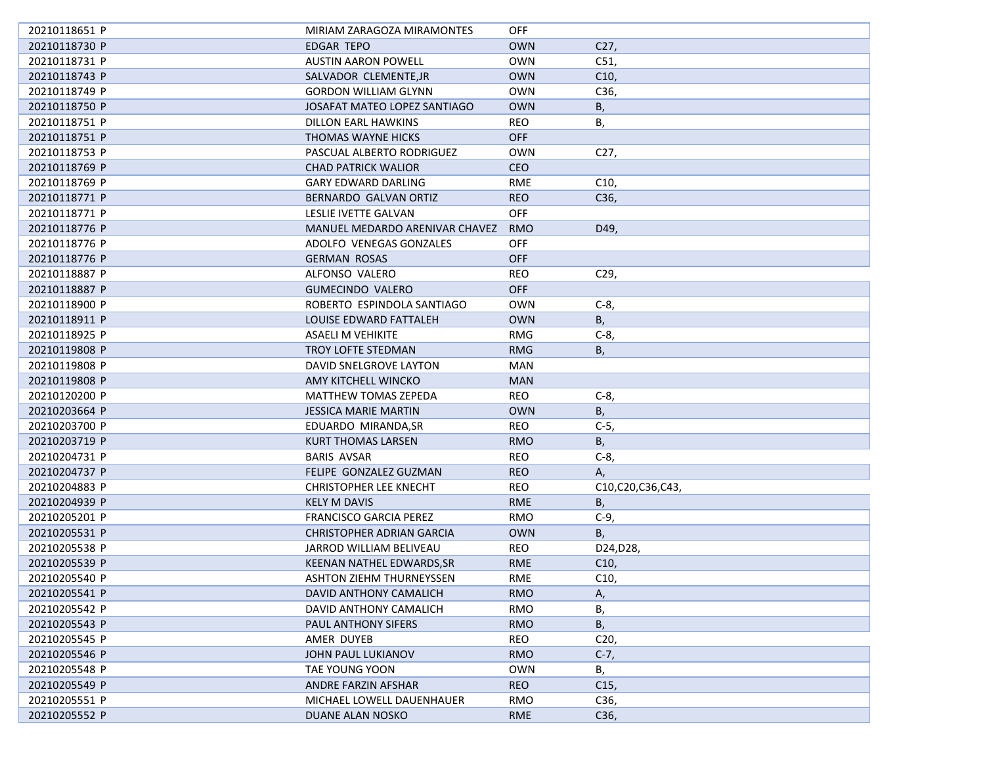| 20210118651 P | MIRIAM ZARAGOZA MIRAMONTES       | OFF        |                  |
|---------------|----------------------------------|------------|------------------|
| 20210118730 P | EDGAR TEPO                       | <b>OWN</b> | C <sub>27</sub>  |
| 20210118731 P | <b>AUSTIN AARON POWELL</b>       | <b>OWN</b> | C51,             |
| 20210118743 P | SALVADOR CLEMENTE, JR            | <b>OWN</b> | C10,             |
| 20210118749 P | <b>GORDON WILLIAM GLYNN</b>      | <b>OWN</b> | C36,             |
| 20210118750 P | JOSAFAT MATEO LOPEZ SANTIAGO     | <b>OWN</b> | B,               |
| 20210118751 P | DILLON EARL HAWKINS              | <b>REO</b> | В,               |
| 20210118751 P | THOMAS WAYNE HICKS               | OFF        |                  |
| 20210118753 P | PASCUAL ALBERTO RODRIGUEZ        | <b>OWN</b> | C <sub>27</sub>  |
| 20210118769 P | <b>CHAD PATRICK WALIOR</b>       | <b>CEO</b> |                  |
| 20210118769 P | <b>GARY EDWARD DARLING</b>       | <b>RME</b> | C10,             |
| 20210118771 P | BERNARDO GALVAN ORTIZ            | <b>REO</b> | C36,             |
| 20210118771 P | LESLIE IVETTE GALVAN             | <b>OFF</b> |                  |
| 20210118776 P | MANUEL MEDARDO ARENIVAR CHAVEZ   | <b>RMO</b> | D49,             |
| 20210118776 P | ADOLFO VENEGAS GONZALES          | <b>OFF</b> |                  |
| 20210118776 P | <b>GERMAN ROSAS</b>              | <b>OFF</b> |                  |
| 20210118887 P | ALFONSO VALERO                   | <b>REO</b> | C29,             |
| 20210118887 P | <b>GUMECINDO VALERO</b>          | <b>OFF</b> |                  |
| 20210118900 P | ROBERTO ESPINDOLA SANTIAGO       | <b>OWN</b> | $C-8$            |
| 20210118911 P | LOUISE EDWARD FATTALEH           | <b>OWN</b> | В,               |
| 20210118925 P | <b>ASAELI M VEHIKITE</b>         | <b>RMG</b> | $C-8$            |
| 20210119808 P | <b>TROY LOFTE STEDMAN</b>        | <b>RMG</b> | Β,               |
| 20210119808 P | DAVID SNELGROVE LAYTON           | <b>MAN</b> |                  |
| 20210119808 P | AMY KITCHELL WINCKO              | <b>MAN</b> |                  |
| 20210120200 P | MATTHEW TOMAS ZEPEDA             | <b>REO</b> | $C-8$            |
| 20210203664 P | <b>JESSICA MARIE MARTIN</b>      | <b>OWN</b> | B,               |
| 20210203700 P | EDUARDO MIRANDA, SR              | <b>REO</b> | $C-5$ ,          |
| 20210203719 P | <b>KURT THOMAS LARSEN</b>        | <b>RMO</b> | B,               |
| 20210204731 P | BARIS AVSAR                      | <b>REO</b> | $C-8$            |
| 20210204737 P | FELIPE GONZALEZ GUZMAN           | <b>REO</b> | А,               |
| 20210204883 P | <b>CHRISTOPHER LEE KNECHT</b>    | <b>REO</b> | C10,C20,C36,C43, |
| 20210204939 P | <b>KELY M DAVIS</b>              | <b>RME</b> | В,               |
| 20210205201 P | <b>FRANCISCO GARCIA PEREZ</b>    | <b>RMO</b> | $C-9$            |
| 20210205531 P | <b>CHRISTOPHER ADRIAN GARCIA</b> | <b>OWN</b> | <b>B</b> ,       |
| 20210205538 P | JARROD WILLIAM BELIVEAU          | <b>REO</b> | D24, D28,        |
| 20210205539 P | KEENAN NATHEL EDWARDS, SR        | <b>RME</b> | C10,             |
| 20210205540 P | ASHTON ZIEHM THURNEYSSEN         | RME        | C10,             |
| 20210205541 P | DAVID ANTHONY CAMALICH           | <b>RMO</b> | Α,               |
| 20210205542 P | DAVID ANTHONY CAMALICH           | <b>RMO</b> | В,               |
| 20210205543 P | PAUL ANTHONY SIFERS              | <b>RMO</b> | B,               |
| 20210205545 P | AMER DUYEB                       | <b>REO</b> | C <sub>20</sub>  |
| 20210205546 P | JOHN PAUL LUKIANOV               | <b>RMO</b> | $C-7,$           |
| 20210205548 P | TAE YOUNG YOON                   | <b>OWN</b> | В,               |
| 20210205549 P | ANDRE FARZIN AFSHAR              | <b>REO</b> | C15,             |
| 20210205551 P | MICHAEL LOWELL DAUENHAUER        | <b>RMO</b> | C36,             |
| 20210205552 P | DUANE ALAN NOSKO                 | <b>RME</b> | C36,             |